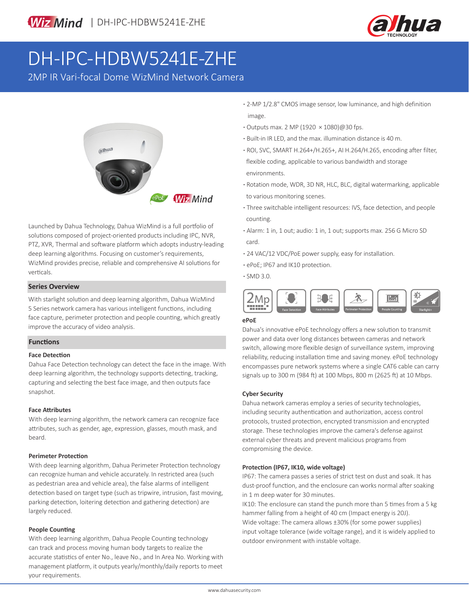

# DH-IPC-HDBW5241E-ZHE

2MP IR Vari-focal Dome WizMind Network Camera



Launched by Dahua Technology, Dahua WizMind is a full portfolio of solutions composed of project-oriented products including IPC, NVR, PTZ, XVR, Thermal and software platform which adopts industry-leading deep learning algorithms. Focusing on customer's requirements, WizMind provides precise, reliable and comprehensive AI solutions for verticals.

#### **Series Overview**

With starlight solution and deep learning algorithm, Dahua WizMind 5 Series network camera has various intelligent functions, including face capture, perimeter protection and people counting, which greatly improve the accuracy of video analysis.

### **Functions**

#### **Face Detection**

Dahua Face Detection technology can detect the face in the image. With deep learning algorithm, the technology supports detecting, tracking, capturing and selecting the best face image, and then outputs face snapshot.

#### **Face Attributes**

With deep learning algorithm, the network camera can recognize face attributes, such as gender, age, expression, glasses, mouth mask, and beard.

#### **Perimeter Protection**

With deep learning algorithm, Dahua Perimeter Protection technology can recognize human and vehicle accurately. In restricted area (such as pedestrian area and vehicle area), the false alarms of intelligent detection based on target type (such as tripwire, intrusion, fast moving, parking detection, loitering detection and gathering detection) are largely reduced.

#### **People Counting**

With deep learning algorithm, Dahua People Counting technology can track and process moving human body targets to realize the accurate statistics of enter No., leave No., and In Area No. Working with management platform, it outputs yearly/monthly/daily reports to meet your requirements.

- **·** 2-MP 1/2.8" CMOS image sensor, low luminance, and high definition image.
- **·** Outputs max. 2 MP (1920 × 1080)@30 fps.
- **·** Built-in IR LED, and the max. illumination distance is 40 m.
- **·** ROI, SVC, SMART H.264+/H.265+, AI H.264/H.265, encoding after filter, flexible coding, applicable to various bandwidth and storage environments.
- **·** Rotation mode, WDR, 3D NR, HLC, BLC, digital watermarking, applicable to various monitoring scenes.
- **·** Three switchable intelligent resources: IVS, face detection, and people counting.
- **·** Alarm: 1 in, 1 out; audio: 1 in, 1 out; supports max. 256 G Micro SD card.
- **·** 24 VAC/12 VDC/PoE power supply, easy for installation.
- **·** ePoE; IP67 and IK10 protection.
- **·** SMD 3.0.



### **ePoE**

Dahua's innovative ePoE technology offers a new solution to transmit power and data over long distances between cameras and network switch, allowing more flexible design of surveillance system, improving reliability, reducing installation time and saving money. ePoE technology encompasses pure network systems where a single CAT6 cable can carry signals up to 300 m (984 ft) at 100 Mbps, 800 m (2625 ft) at 10 Mbps.

#### **Cyber Security**

Dahua network cameras employ a series of security technologies, including security authentication and authorization, access control protocols, trusted protection, encrypted transmission and encrypted storage. These technologies improve the camera's defense against external cyber threats and prevent malicious programs from compromising the device.

#### **Protection (IP67, IK10, wide voltage)**

IP67: The camera passes a series of strict test on dust and soak. It has dust-proof function, and the enclosure can works normal after soaking in 1 m deep water for 30 minutes.

IK10: The enclosure can stand the punch more than 5 times from a 5 kg hammer falling from a height of 40 cm (Impact energy is 20J). Wide voltage: The camera allows ±30% (for some power supplies) input voltage tolerance (wide voltage range), and it is widely applied to outdoor environment with instable voltage.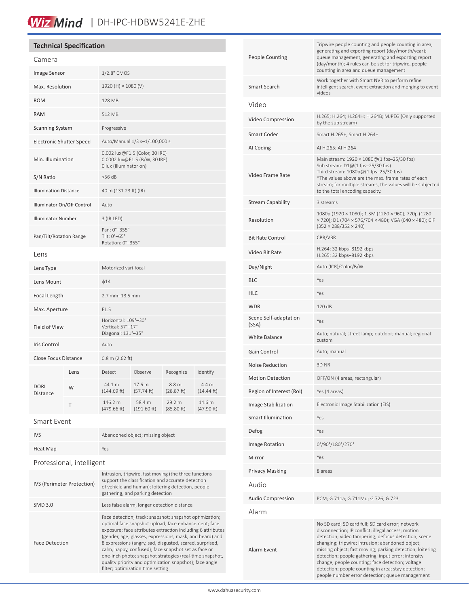# Wiz Mind | DH-IPC-HDBW5241E-ZHE

| <b>Technical Specification</b>  |                                                                                           |         |                    |      |
|---------------------------------|-------------------------------------------------------------------------------------------|---------|--------------------|------|
| Camera                          |                                                                                           |         |                    |      |
| Image Sensor                    | 1/2.8" CMOS                                                                               |         |                    |      |
| Max. Resolution                 | 1920 (H) × 1080 (V)                                                                       |         |                    |      |
| <b>ROM</b>                      | 128 MB                                                                                    |         |                    |      |
| <b>RAM</b>                      | 512 MB                                                                                    |         |                    |      |
| <b>Scanning System</b>          | Progressive                                                                               |         |                    |      |
| <b>Electronic Shutter Speed</b> | Auto/Manual 1/3 s-1/100,000 s                                                             |         |                    |      |
| Min. Illumination               | 0.002 lux@F1.5 (Color, 30 IRE)<br>0.0002 lux@F1.5 (B/W, 30 IRE)<br>0 lux (Illuminator on) |         |                    |      |
| S/N Ratio                       | $>56$ dB                                                                                  |         |                    |      |
| <b>Illumination Distance</b>    | 40 m (131.23 ft) (IR)                                                                     |         |                    |      |
| Illuminator On/Off Control      | Auto                                                                                      |         |                    |      |
| <b>Illuminator Number</b>       | 3 (IR LED)                                                                                |         |                    |      |
| Pan/Tilt/Rotation Range         | Pan: 0°-355°<br>Tilt: 0°-65°<br>Rotation: 0°-355°                                         |         |                    |      |
| Lens                            |                                                                                           |         |                    |      |
| Lens Type                       | Motorized vari-focal                                                                      |         |                    |      |
| Lens Mount                      | $\phi$ 14                                                                                 |         |                    |      |
| <b>Focal Length</b>             | $2.7$ mm $-13.5$ mm                                                                       |         |                    |      |
| Max. Aperture                   | F1.5                                                                                      |         |                    |      |
| <b>Field of View</b>            | Horizontal: 109°-30°<br>Vertical: 57°-17°<br>Diagonal: 131°-35°                           |         |                    |      |
| Iris Control                    | Auto                                                                                      |         |                    |      |
| <b>Close Focus Distance</b>     | $0.8$ m (2.62 ft)                                                                         |         |                    |      |
| $l$ $\sim$ $\sim$               | $D^{at}$                                                                                  | Obcorve | $D^{\alpha\alpha}$ | Idor |

| <b>DORI</b><br><b>Distance</b> | Lens | Detect                 | Observe               | Recognize            | Identify                       |
|--------------------------------|------|------------------------|-----------------------|----------------------|--------------------------------|
|                                | W    | 44.1 m<br>(144.69 ft)  | 17.6 m<br>(57.74 ft)  | 8.8 m<br>(28.87 ft)  | 4.4 <sub>m</sub><br>(14.44 ft) |
|                                | т    | 146.2 m<br>(479.66 ft) | 58.4 m<br>(191.60 ft) | 29.2 m<br>(85.80 ft) | 14.6 m<br>(47.90 ft)           |
| Smart Event                    |      |                        |                       |                      |                                |

IVS Abandoned object; missing object Heat Map Yes Professional, intelligent IVS (Perimeter Protection) Intrusion, tripwire, fast moving (the three functions support the classification and accurate detection of vehicle and human); loitering detection, people gathering, and parking detection SMD 3.0 Less false alarm, longer detection distance Face Detection Face detection; track; snapshot; snapshot optimization; optimal face snapshot upload; face enhancement; face exposure; face attributes extraction including 6 attributes (gender, age, glasses, expressions, mask, and beard) and 8 expressions (angry, sad, disgusted, scared, surprised, calm, happy, confused); face snapshot set as face or one-inch photo; snapshot strategies (real-time snapshot, quality priority and optimization snapshot); face angle filter; optimization time setting

| <b>People Counting</b>         | Tripwire people counting and people counting in area,<br>generating and exporting report (day/month/year);<br>queue management, generating and exporting report<br>(day/month); 4 rules can be set for tripwire, people<br>counting in area and queue management                                                                                                                                                                                                                                     |
|--------------------------------|------------------------------------------------------------------------------------------------------------------------------------------------------------------------------------------------------------------------------------------------------------------------------------------------------------------------------------------------------------------------------------------------------------------------------------------------------------------------------------------------------|
| Smart Search                   | Work together with Smart NVR to perform refine<br>intelligent search, event extraction and merging to event<br>videos                                                                                                                                                                                                                                                                                                                                                                                |
| Video                          |                                                                                                                                                                                                                                                                                                                                                                                                                                                                                                      |
| Video Compression              | H.265; H.264; H.264H; H.264B; MJPEG (Only supported<br>by the sub stream)                                                                                                                                                                                                                                                                                                                                                                                                                            |
| <b>Smart Codec</b>             | Smart H.265+; Smart H.264+                                                                                                                                                                                                                                                                                                                                                                                                                                                                           |
| AI Coding                      | AI H.265; AI H.264                                                                                                                                                                                                                                                                                                                                                                                                                                                                                   |
| Video Frame Rate               | Main stream: 1920 × 1080@(1 fps-25/30 fps)<br>Sub stream: D1@(1 fps-25/30 fps)<br>Third stream: 1080p@(1 fps-25/30 fps)<br>*The values above are the max. frame rates of each<br>stream; for multiple streams, the values will be subjected<br>to the total encoding capacity.                                                                                                                                                                                                                       |
| <b>Stream Capability</b>       | 3 streams                                                                                                                                                                                                                                                                                                                                                                                                                                                                                            |
| Resolution                     | 1080p (1920 × 1080); 1.3M (1280 × 960); 720p (1280<br>× 720); D1 (704 × 576/704 × 480); VGA (640 × 480); CIF<br>$(352 \times 288/352 \times 240)$                                                                                                                                                                                                                                                                                                                                                    |
| <b>Bit Rate Control</b>        | CBR/VBR                                                                                                                                                                                                                                                                                                                                                                                                                                                                                              |
| Video Bit Rate                 | H.264: 32 kbps-8192 kbps<br>H.265: 32 kbps-8192 kbps                                                                                                                                                                                                                                                                                                                                                                                                                                                 |
| Day/Night                      | Auto (ICR)/Color/B/W                                                                                                                                                                                                                                                                                                                                                                                                                                                                                 |
| <b>BLC</b>                     | Yes                                                                                                                                                                                                                                                                                                                                                                                                                                                                                                  |
| <b>HLC</b>                     | Yes                                                                                                                                                                                                                                                                                                                                                                                                                                                                                                  |
| <b>WDR</b>                     | 120 dB                                                                                                                                                                                                                                                                                                                                                                                                                                                                                               |
| Scene Self-adaptation<br>(SSA) | Yes                                                                                                                                                                                                                                                                                                                                                                                                                                                                                                  |
| <b>White Balance</b>           | Auto; natural; street lamp; outdoor; manual; regional<br>custom                                                                                                                                                                                                                                                                                                                                                                                                                                      |
| Gain Control                   | Auto; manual                                                                                                                                                                                                                                                                                                                                                                                                                                                                                         |
| Noise Reduction                | 3D NR                                                                                                                                                                                                                                                                                                                                                                                                                                                                                                |
| <b>Motion Detection</b>        | OFF/ON (4 areas, rectangular)                                                                                                                                                                                                                                                                                                                                                                                                                                                                        |
| Region of Interest (RoI)       | Yes (4 areas)                                                                                                                                                                                                                                                                                                                                                                                                                                                                                        |
| Image Stabilization            | Electronic Image Stabilization (EIS)                                                                                                                                                                                                                                                                                                                                                                                                                                                                 |
| <b>Smart Illumination</b>      | Yes                                                                                                                                                                                                                                                                                                                                                                                                                                                                                                  |
| Defog                          | Yes                                                                                                                                                                                                                                                                                                                                                                                                                                                                                                  |
| Image Rotation                 | 0°/90°/180°/270°                                                                                                                                                                                                                                                                                                                                                                                                                                                                                     |
| Mirror                         | Yes                                                                                                                                                                                                                                                                                                                                                                                                                                                                                                  |
| <b>Privacy Masking</b>         | 8 areas                                                                                                                                                                                                                                                                                                                                                                                                                                                                                              |
| Audio                          |                                                                                                                                                                                                                                                                                                                                                                                                                                                                                                      |
| <b>Audio Compression</b>       | PCM; G.711a; G.711Mu; G.726; G.723                                                                                                                                                                                                                                                                                                                                                                                                                                                                   |
| Alarm                          |                                                                                                                                                                                                                                                                                                                                                                                                                                                                                                      |
| Alarm Event                    | No SD card; SD card full; SD card error; network<br>disconnection; IP conflict; illegal access; motion<br>detection; video tampering; defocus detection; scene<br>changing; tripwire; intrusion; abandoned object;<br>missing object; fast moving; parking detection; loitering<br>detection; people gathering; input error; intensity<br>change; people counting; face detection; voltage<br>detection; people counting in area; stay detection;<br>people number error detection; queue management |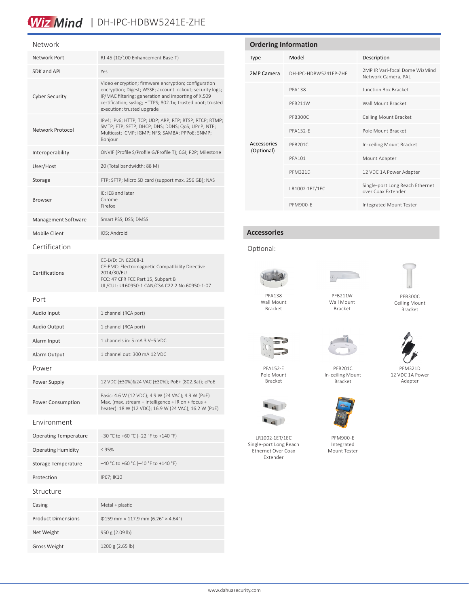# Wiz Mind | DH-IPC-HDBW5241E-ZHE

| Network                      |                                                                                                                                                                                                                                                                       |
|------------------------------|-----------------------------------------------------------------------------------------------------------------------------------------------------------------------------------------------------------------------------------------------------------------------|
| Network Port                 | RJ-45 (10/100 Enhancement Base-T)                                                                                                                                                                                                                                     |
| SDK and API                  | Yes                                                                                                                                                                                                                                                                   |
| <b>Cyber Security</b>        | Video encryption; firmware encryption; configuration<br>encryption; Digest; WSSE; account lockout; security logs;<br>IP/MAC filtering; generation and importing of X.509<br>certification; syslog; HTTPS; 802.1x; trusted boot; trusted<br>execution; trusted upgrade |
| Network Protocol             | IPv4; IPv6; HTTP; TCP; UDP; ARP; RTP; RTSP; RTCP; RTMP;<br>SMTP; FTP; SFTP; DHCP; DNS; DDNS; QoS; UPnP; NTP;<br>Multicast; ICMP; IGMP; NFS; SAMBA; PPPoE; SNMP;<br>Bonjour                                                                                            |
| Interoperability             | ONVIF (Profile S/Profile G/Profile T); CGI; P2P; Milestone                                                                                                                                                                                                            |
| User/Host                    | 20 (Total bandwidth: 88 M)                                                                                                                                                                                                                                            |
| Storage                      | FTP; SFTP; Micro SD card (support max. 256 GB); NAS                                                                                                                                                                                                                   |
| <b>Browser</b>               | IE: IE8 and later<br>Chrome<br>Firefox                                                                                                                                                                                                                                |
| Management Software          | Smart PSS; DSS; DMSS                                                                                                                                                                                                                                                  |
| <b>Mobile Client</b>         | iOS; Android                                                                                                                                                                                                                                                          |
| Certification                |                                                                                                                                                                                                                                                                       |
| Certifications               | CE-LVD: EN 62368-1<br>CE-EMC: Electromagnetic Compatibility Directive<br>2014/30/EU<br>FCC: 47 CFR FCC Part 15, Subpart B<br>UL/CUL: UL60950-1 CAN/CSA C22.2 No.60950-1-07                                                                                            |
| Port                         |                                                                                                                                                                                                                                                                       |
| Audio Input                  | 1 channel (RCA port)                                                                                                                                                                                                                                                  |
| Audio Output                 | 1 channel (RCA port)                                                                                                                                                                                                                                                  |
| Alarm Input                  | 1 channels in: 5 mA 3 V-5 VDC                                                                                                                                                                                                                                         |
| Alarm Output                 | 1 channel out: 300 mA 12 VDC                                                                                                                                                                                                                                          |
| Power                        |                                                                                                                                                                                                                                                                       |
| Power Supply                 | 12 VDC (±30%)&24 VAC (±30%); PoE+ (802.3at); ePoE                                                                                                                                                                                                                     |
| Power Consumption            | Basic: 4.6 W (12 VDC); 4.9 W (24 VAC); 4.9 W (PoE)<br>Max. (max. stream + intelligence + IR on + focus +<br>heater): 18 W (12 VDC); 16.9 W (24 VAC); 16.2 W (PoE)                                                                                                     |
| Environment                  |                                                                                                                                                                                                                                                                       |
| <b>Operating Temperature</b> | $-30$ °C to +60 °C (-22 °F to +140 °F)                                                                                                                                                                                                                                |
| <b>Operating Humidity</b>    | $\leq 95\%$                                                                                                                                                                                                                                                           |
| <b>Storage Temperature</b>   | $-40$ °C to +60 °C (-40 °F to +140 °F)                                                                                                                                                                                                                                |
| Protection                   | IP67; IK10                                                                                                                                                                                                                                                            |
| Structure                    |                                                                                                                                                                                                                                                                       |
| Casing                       | Metal + plastic                                                                                                                                                                                                                                                       |
| <b>Product Dimensions</b>    | $\Phi$ 159 mm × 117.9 mm (6.26" × 4.64")                                                                                                                                                                                                                              |
|                              |                                                                                                                                                                                                                                                                       |

Gross Weight 1200 g (2.65 lb)

| <b>Ordering Information</b> |                       |                                                       |  |
|-----------------------------|-----------------------|-------------------------------------------------------|--|
| Type                        | Model                 | Description                                           |  |
| 2MP Camera                  | DH-IPC-HDBW5241FP-7HF | 2MP IR Vari-focal Dome WizMind<br>Network Camera, PAL |  |
| Accessories<br>(Optional)   | <b>PFA138</b>         | Junction Box Bracket                                  |  |
|                             | PFB211W               | Wall Mount Bracket                                    |  |
|                             | PFB300C               | Ceiling Mount Bracket                                 |  |
|                             | <b>PFA152-F</b>       | Pole Mount Bracket                                    |  |
|                             | PFB201C               | In-ceiling Mount Bracket                              |  |
|                             | PFA101                | Mount Adapter                                         |  |
|                             | <b>PFM321D</b>        | 12 VDC 1A Power Adapter                               |  |
|                             | LR1002-1ET/1EC        | Single-port Long Reach Ethernet<br>over Coax Extender |  |
|                             | <b>PFM900-F</b>       | <b>Integrated Mount Tester</b>                        |  |

#### **Accessories**

#### Optional:



Wall Mount Bracket

PFA152-E Pole Mount Bracket

LR1002-1ET/1EC Single-port Long Reach Ethernet Over Coax Extender

 $\blacksquare$  $\blacksquare$  49

PFB211W Wall Mount Bracket



PFB300C Ceiling Mount Bracket



PFB201C In-ceiling Mount







12 VDC 1A Power Adapter





PFM900-E Integrated Mount Tester